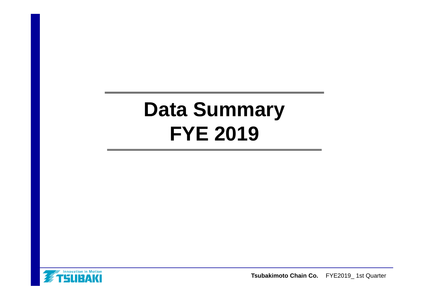# **Data Summary FYE 2019**

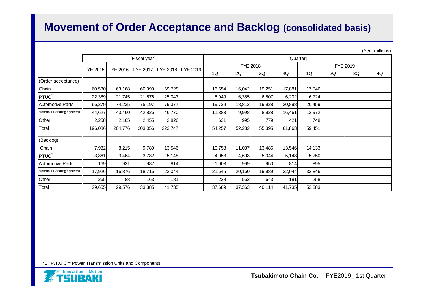### **Movement of Order Acceptance and Backlog (consolidated basis)**

| (Yen, millions) |  |
|-----------------|--|
|                 |  |

|                            | [Fiscal year] |         |                     |         |                   |                      | [Quarter] |        |        |        |    |    |    |
|----------------------------|---------------|---------|---------------------|---------|-------------------|----------------------|-----------|--------|--------|--------|----|----|----|
|                            |               |         | FYE 2016   FYE 2017 |         |                   | FYE 2018<br>FYE 2019 |           |        |        |        |    |    |    |
|                            | FYE 2015      |         |                     |         | FYE 2018 FYE 2019 | 1Q                   | 2Q        | 3Q     | 4Q     | 1Q     | 2Q | 3Q | 4Q |
| (Order acceptance)         |               |         |                     |         |                   |                      |           |        |        |        |    |    |    |
| Chain                      | 60,530        | 63,168  | 60,999              | 69,728  |                   | 16,554               | 16,042    | 19,251 | 17,881 | 17,546 |    |    |    |
| PTUC <sup>*</sup>          | 22,389        | 21,745  | 21,576              | 25,043  |                   | 5,949                | 6,385     | 6,507  | 6,202  | 6,724  |    |    |    |
| <b>Automotive Parts</b>    | 66,279        | 74,235  | 75,197              | 79,377  |                   | 19,739               | 18,812    | 19,928 | 20,898 | 20,459 |    |    |    |
| Materials Handling Systems | 44,627        | 43,460  | 42,826              | 46,770  |                   | 11,383               | 9,998     | 8,928  | 16,461 | 13,972 |    |    |    |
| Other                      | 2,258         | 2,165   | 2,455               | 2,826   |                   | 631                  | 995       | 779I   | 421    | 748    |    |    |    |
| Total                      | 196,086       | 204,776 | 203,056             | 223,747 |                   | 54,257               | 52,232    | 55,395 | 61,863 | 59,451 |    |    |    |
| (Backlog)                  |               |         |                     |         |                   |                      |           |        |        |        |    |    |    |
| Chain                      | 7,932         | 8,215   | 9,789               | 13,546  |                   | 10,758               | 11,037    | 13,486 | 13,546 | 14,133 |    |    |    |
| <b>PTUC</b>                | 3,361         | 3,464   | 3,732               | 5,148   |                   | 4,053                | 4,603     | 5,044  | 5,148  | 5,750  |    |    |    |
| <b>Automotive Parts</b>    | 169           | 931     | 982                 | 814     |                   | 1,003                | 999       | 950    | 814    | 895    |    |    |    |
| Materials Handling Systems | 17,926        | 16,876  | 18,716              | 22,044  |                   | 21,645               | 20,160    | 19,989 | 22,044 | 32,846 |    |    |    |
| Other                      | 265           | 88      | 163                 | 181     |                   | 228                  | 562       | 643    | 181    | 258    |    |    |    |
| Total                      | 29,655        | 29,576  | 33,385              | 41,735  |                   | 37,689               | 37,363    | 40,114 | 41,735 | 53,883 |    |    |    |

\*1 : P.T.U.C = Power Transmission Units and Components

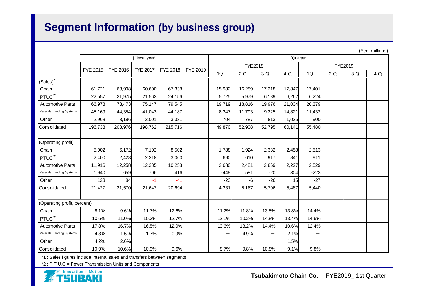## **Segment Information (by business group)**

|                             |               |          |          |          |          |        |           |        |        |        |    |         | (Teri, fililliofis) |
|-----------------------------|---------------|----------|----------|----------|----------|--------|-----------|--------|--------|--------|----|---------|---------------------|
|                             | [Fiscal year] |          |          |          |          |        | [Quarter] |        |        |        |    |         |                     |
|                             | FYE 2015      | FYE 2016 | FYE 2017 | FYE 2018 | FYE 2019 |        | FYE2018   |        |        |        |    | FYE2019 |                     |
|                             |               |          |          |          |          | 1Q     | 2Q        | 3 Q    | 4 Q    | 1Q     | 2Q | 3 Q     | 4 Q                 |
| $(Sales)^*$ <sup>1</sup>    |               |          |          |          |          |        |           |        |        |        |    |         |                     |
| Chain                       | 61,721        | 63,998   | 60,600   | 67,338   |          | 15,982 | 16,289    | 17,218 | 17,847 | 17,401 |    |         |                     |
| PTUC <sup>*2</sup>          | 22,557        | 21,975   | 21,563   | 24,156   |          | 5,725  | 5,979     | 6,189  | 6,262  | 6,224  |    |         |                     |
| <b>Automotive Parts</b>     | 66,978        | 73,473   | 75,147   | 79,545   |          | 19,719 | 18,816    | 19,976 | 21,034 | 20,379 |    |         |                     |
| Materials Handling Systems  | 45,169        | 44,354   | 41,043   | 44,187   |          | 8,347  | 11,793    | 9,225  | 14,821 | 11,432 |    |         |                     |
| Other                       | 2,968         | 3,186    | 3,001    | 3,331    |          | 704    | 787       | 813    | 1,025  | 900    |    |         |                     |
| Consolidated                | 196,738       | 203,976  | 198,762  | 215,716  |          | 49,870 | 52,908    | 52,795 | 60,141 | 55,480 |    |         |                     |
|                             |               |          |          |          |          |        |           |        |        |        |    |         |                     |
| (Operating profit)          |               |          |          |          |          |        |           |        |        |        |    |         |                     |
| Chain                       | 5,002         | 6,172    | 7,102    | 8,502    |          | 1,788  | 1,924     | 2,332  | 2,458  | 2,513  |    |         |                     |
| PTUC <sup>*2</sup>          | 2,400         | 2,428    | 2,218    | 3,060    |          | 690    | 610       | 917    | 841    | 911    |    |         |                     |
| <b>Automotive Parts</b>     | 11,916        | 12,258   | 12,385   | 10,258   |          | 2,680  | 2,481     | 2,869  | 2,227  | 2,529  |    |         |                     |
| Materials Handling Systems  | 1,940         | 659      | 706      | 416      |          | $-448$ | 581       | $-20$  | 304    | $-223$ |    |         |                     |
| Other                       | 123           | 84       | $-1$     | $-41$    |          | $-23$  | -6        | $-26$  | 15     | $-27$  |    |         |                     |
| Consolidated                | 21,427        | 21,570   | 21,647   | 20,694   |          | 4,331  | 5,167     | 5,706  | 5,487  | 5,440  |    |         |                     |
|                             |               |          |          |          |          |        |           |        |        |        |    |         |                     |
| (Operating profit, percent) |               |          |          |          |          |        |           |        |        |        |    |         |                     |
| Chain                       | 8.1%          | 9.6%     | 11.7%    | 12.6%    |          | 11.2%  | 11.8%     | 13.5%  | 13.8%  | 14.4%  |    |         |                     |
| PTUC <sup>*2</sup>          | 10.6%         | 11.0%    | 10.3%    | 12.7%    |          | 12.1%  | 10.2%     | 14.8%  | 13.4%  | 14.6%  |    |         |                     |
| <b>Automotive Parts</b>     | 17.8%         | 16.7%    | 16.5%    | 12.9%    |          | 13.6%  | 13.2%     | 14.4%  | 10.6%  | 12.4%  |    |         |                     |
| Materials Handling Systems  | 4.3%          | 1.5%     | 1.7%     | 0.9%     |          | —      | 4.9%      | —      | 2.1%   |        |    |         |                     |
| Other                       | 4.2%          | 2.6%     |          |          |          | —      |           | —      | 1.5%   |        |    |         |                     |
| Consolidated                | 10.9%         | 10.6%    | 10.9%    | 9.6%     |          | 8.7%   | 9.8%      | 10.8%  | 9.1%   | 9.8%   |    |         |                     |

\*1 : Sales figures include internal sales and transfers between segments.

\*2 : P.T.U.C = Power Transmission Units and Components



(Yen, millions)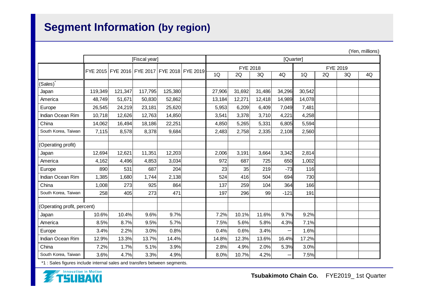## **Segment Information (by region)**

|                             | (Yen, millions) |         |         |                                              |  |          |           |        |        |        |          |    |    |
|-----------------------------|-----------------|---------|---------|----------------------------------------------|--|----------|-----------|--------|--------|--------|----------|----|----|
|                             | [Fiscal year]   |         |         |                                              |  |          | [Quarter] |        |        |        |          |    |    |
|                             |                 |         |         | FYE 2015 FYE 2016 FYE 2017 FYE 2018 FYE 2019 |  | FYE 2018 |           |        |        |        | FYE 2019 |    |    |
|                             |                 |         |         |                                              |  | 1Q       | 2Q        | 3Q     | 4Q     | 1Q     | 2Q       | 3Q | 4Q |
| (Sales)                     |                 |         |         |                                              |  |          |           |        |        |        |          |    |    |
| Japan                       | 119,349         | 121,347 | 117,795 | 125,380                                      |  | 27,906   | 31,692    | 31,486 | 34,296 | 30,542 |          |    |    |
| America                     | 48,749          | 51,671  | 50,830  | 52,862                                       |  | 13,184   | 12,271    | 12,418 | 14,989 | 14,078 |          |    |    |
| Europe                      | 26,545          | 24,219  | 23,181  | 25,620                                       |  | 5,953    | 6,209     | 6,409  | 7,049  | 7,481  |          |    |    |
| Indian Ocean Rim            | 10,718          | 12,626  | 12,763  | 14,850                                       |  | 3,541    | 3,378     | 3,710  | 4,221  | 4,258  |          |    |    |
| China                       | 14,062          | 16,494  | 18,186  | 22,251                                       |  | 4,850    | 5,265     | 5,331  | 6,805  | 5,594  |          |    |    |
| South Korea, Taiwan         | 7,115           | 8,578   | 8,378   | 9,684                                        |  | 2,483    | 2,758     | 2,335  | 2,108  | 2,560  |          |    |    |
|                             |                 |         |         |                                              |  |          |           |        |        |        |          |    |    |
| (Operating profit)          |                 |         |         |                                              |  |          |           |        |        |        |          |    |    |
| Japan                       | 12,694          | 12,621  | 11,351  | 12,203                                       |  | 2,006    | 3,191     | 3,664  | 3,342  | 2,814  |          |    |    |
| America                     | 4,162           | 4,496   | 4,853   | 3,034                                        |  | 972      | 687       | 725    | 650    | 1,002  |          |    |    |
| Europe                      | 890             | 531     | 687     | 204                                          |  | 23       | 35        | 219    | $-73$  | 116    |          |    |    |
| Indian Ocean Rim            | 1,385           | 1,680   | 1,744   | 2,138                                        |  | 524      | 416       | 504    | 694    | 730    |          |    |    |
| China                       | 1,008           | 273     | 925     | 864                                          |  | 137      | 259       | 104    | 364    | 166    |          |    |    |
| South Korea, Taiwan         | 258             | 405     | 273     | 471                                          |  | 197      | 296       | 99     | $-121$ | 191    |          |    |    |
|                             |                 |         |         |                                              |  |          |           |        |        |        |          |    |    |
| (Operating profit, percent) |                 |         |         |                                              |  |          |           |        |        |        |          |    |    |
| Japan                       | 10.6%           | 10.4%   | 9.6%    | 9.7%                                         |  | 7.2%     | 10.1%     | 11.6%  | 9.7%   | 9.2%   |          |    |    |
| America                     | 8.5%            | 8.7%    | 9.5%    | 5.7%                                         |  | 7.5%     | 5.6%      | 5.8%   | 4.3%   | 7.1%   |          |    |    |
| Europe                      | 3.4%            | 2.2%    | 3.0%    | 0.8%                                         |  | 0.4%     | 0.6%      | 3.4%   |        | 1.6%   |          |    |    |
| <b>Indian Ocean Rim</b>     | 12.9%           | 13.3%   | 13.7%   | 14.4%                                        |  | 14.8%    | 12.3%     | 13.6%  | 16.4%  | 17.2%  |          |    |    |
| China                       | 7.2%            | 1.7%    | 5.1%    | 3.9%                                         |  | 2.8%     | 4.9%      | 2.0%   | 5.3%   | 3.0%   |          |    |    |
| South Korea, Taiwan         | 3.6%            | 4.7%    | 3.3%    | 4.9%                                         |  | 8.0%     | 10.7%     | 4.2%   |        | 7.5%   |          |    |    |

\*1 : Sales figures include internal sales and transfers between segments.

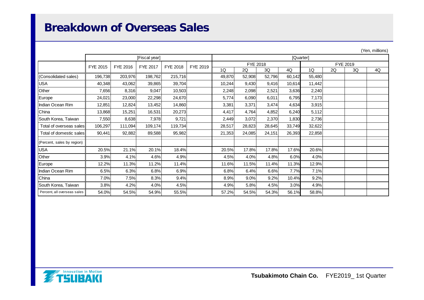#### **Breakdown of Overseas Sales**

|                             |          |          |                 |          |          |           |        |        |        |        |    |          | $\frac{1}{2}$ |
|-----------------------------|----------|----------|-----------------|----------|----------|-----------|--------|--------|--------|--------|----|----------|---------------|
|                             |          |          | [Fiscal year]   |          |          | [Quarter] |        |        |        |        |    |          |               |
|                             |          |          | <b>FYE 2017</b> | FYE 2018 |          | FYE 2018  |        |        |        |        |    | FYE 2019 |               |
|                             | FYE 2015 | FYE 2016 |                 |          | FYE 2019 | 1Q        | 2Q     | 3Q     | 4Q     | 1Q     | 2Q | 3Q       | 4Q            |
| (Consolidated sales)        | 196,738  | 203,976  | 198,762         | 215,716  |          | 49,870    | 52,908 | 52,796 | 60,142 | 55,480 |    |          |               |
| <b>USA</b>                  | 40,348   | 43,062   | 39,865          | 39,704   |          | 10,244    | 9,430  | 9,416  | 10,614 | 11,442 |    |          |               |
| Other                       | 7,656    | 8,316    | 9,047           | 10,503   |          | 2,248     | 2,098  | 2,521  | 3,636  | 2,240  |    |          |               |
| Europe                      | 24,021   | 23,000   | 22,298          | 24,670   |          | 5,774     | 6,090  | 6,011  | 6,795  | 7,173  |    |          |               |
| Indian Ocean Rim            | 12,851   | 12,824   | 13,452          | 14,860   |          | 3,381     | 3,371  | 3,474  | 4,634  | 3,915  |    |          |               |
| China                       | 13,868   | 15,251   | 16,531          | 20,273   |          | 4,417     | 4,764  | 4,852  | 6,240  | 5,112  |    |          |               |
| South Korea, Taiwan         | 7,550    | 8,638    | 7,978           | 9,721    |          | 2,449     | 3,072  | 2,370  | 1,830  | 2,736  |    |          |               |
| Total of overseas sales     | 106,297  | 111,094  | 109,174         | 119,734  |          | 28,517    | 28,823 | 28,645 | 33,749 | 32,622 |    |          |               |
| Total of domestic sales     | 90,441   | 92,882   | 89,588          | 95,982   |          | 21,353    | 24,085 | 24,151 | 26,393 | 22,858 |    |          |               |
| (Percent, sales by region)  |          |          |                 |          |          |           |        |        |        |        |    |          |               |
| <b>USA</b>                  | 20.5%    | 21.1%    | 20.1%           | 18.4%    |          | 20.5%     | 17.8%  | 17.8%  | 17.6%  | 20.6%  |    |          |               |
| Other                       | 3.9%     | 4.1%     | 4.6%            | 4.9%     |          | 4.5%      | 4.0%   | 4.8%   | 6.0%   | 4.0%   |    |          |               |
| Europe                      | 12.2%    | 11.3%    | 11.2%           | 11.4%    |          | 11.6%     | 11.5%  | 11.4%  | 11.3%  | 12.9%  |    |          |               |
| Indian Ocean Rim            | 6.5%     | 6.3%     | 6.8%            | 6.9%     |          | 6.8%      | 6.4%   | 6.6%   | 7.7%   | 7.1%   |    |          |               |
| China                       | 7.0%     | 7.5%     | 8.3%            | 9.4%     |          | 8.9%      | 9.0%   | 9.2%   | 10.4%  | 9.2%   |    |          |               |
| South Korea, Taiwan         | 3.8%     | 4.2%     | 4.0%            | 4.5%     |          | 4.9%      | 5.8%   | 4.5%   | 3.0%   | 4.9%   |    |          |               |
| Percent, all overseas sales | 54.0%    | 54.5%    | 54.9%           | 55.5%    |          | 57.2%     | 54.5%  | 54.3%  | 56.1%  | 58.8%  |    |          |               |



(Yen, millions)